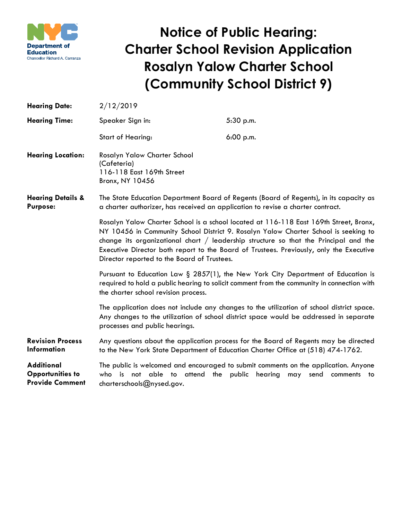

## **Notice of Public Hearing: Charter School Revision Application Rosalyn Yalow Charter School (Community School District 9)**

| <b>Hearing Date:</b>                                                   | 2/12/2019                                                                                                                                                                                                                                                                                                                                                                                                                                                                                                                                                                                                                                                                                                                                                                                                                   |           |
|------------------------------------------------------------------------|-----------------------------------------------------------------------------------------------------------------------------------------------------------------------------------------------------------------------------------------------------------------------------------------------------------------------------------------------------------------------------------------------------------------------------------------------------------------------------------------------------------------------------------------------------------------------------------------------------------------------------------------------------------------------------------------------------------------------------------------------------------------------------------------------------------------------------|-----------|
| <b>Hearing Time:</b>                                                   | Speaker Sign in:                                                                                                                                                                                                                                                                                                                                                                                                                                                                                                                                                                                                                                                                                                                                                                                                            | 5:30 p.m. |
|                                                                        | <b>Start of Hearing:</b>                                                                                                                                                                                                                                                                                                                                                                                                                                                                                                                                                                                                                                                                                                                                                                                                    | 6:00 p.m. |
| <b>Hearing Location:</b>                                               | Rosalyn Yalow Charter School<br>(Cafeteria)<br>116-118 East 169th Street<br>Bronx, NY 10456                                                                                                                                                                                                                                                                                                                                                                                                                                                                                                                                                                                                                                                                                                                                 |           |
| <b>Hearing Details &amp;</b><br><b>Purpose:</b>                        | The State Education Department Board of Regents (Board of Regents), in its capacity as<br>a charter authorizer, has received an application to revise a charter contract.<br>Rosalyn Yalow Charter School is a school located at 116-118 East 169th Street, Bronx,<br>NY 10456 in Community School District 9. Rosalyn Yalow Charter School is seeking to<br>change its organizational chart $/$ leadership structure so that the Principal and the<br>Executive Director both report to the Board of Trustees. Previously, only the Executive<br>Director reported to the Board of Trustees.<br>Pursuant to Education Law $\S$ 2857(1), the New York City Department of Education is<br>required to hold a public hearing to solicit comment from the community in connection with<br>the charter school revision process. |           |
|                                                                        |                                                                                                                                                                                                                                                                                                                                                                                                                                                                                                                                                                                                                                                                                                                                                                                                                             |           |
|                                                                        |                                                                                                                                                                                                                                                                                                                                                                                                                                                                                                                                                                                                                                                                                                                                                                                                                             |           |
|                                                                        | The application does not include any changes to the utilization of school district space.<br>Any changes to the utilization of school district space would be addressed in separate<br>processes and public hearings.                                                                                                                                                                                                                                                                                                                                                                                                                                                                                                                                                                                                       |           |
| <b>Revision Process</b><br><b>Information</b>                          | Any questions about the application process for the Board of Regents may be directed<br>to the New York State Department of Education Charter Office at (518) 474-1762.                                                                                                                                                                                                                                                                                                                                                                                                                                                                                                                                                                                                                                                     |           |
| <b>Additional</b><br><b>Opportunities to</b><br><b>Provide Comment</b> | The public is welcomed and encouraged to submit comments on the application. Anyone<br>who is not able to attend the public hearing<br>may<br>send<br>comments<br>to<br>charterschools@nysed.gov.                                                                                                                                                                                                                                                                                                                                                                                                                                                                                                                                                                                                                           |           |